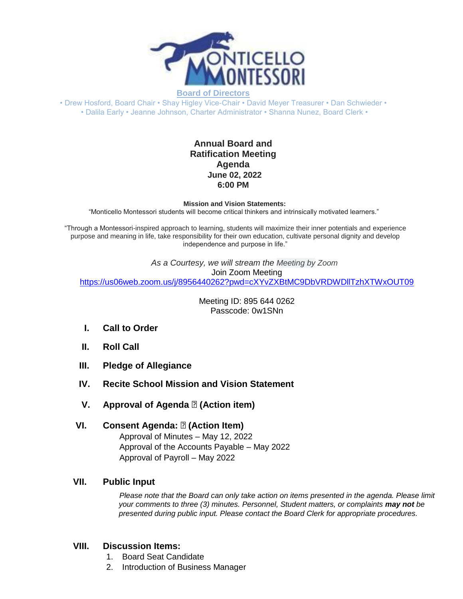

• Drew Hosford, Board Chair • Shay Higley Vice-Chair • David Meyer Treasurer • Dan Schwieder • • Dalila Early • Jeanne Johnson, Charter Administrator • Shanna Nunez, Board Clerk •

## **Annual Board and Ratification Meeting Agenda June 02, 2022 6:00 PM**

#### **Mission and Vision Statements:**

"Monticello Montessori students will become critical thinkers and intrinsically motivated learners."

"Through a Montessori-inspired approach to learning, students will maximize their inner potentials and experience purpose and meaning in life, take responsibility for their own education, cultivate personal dignity and develop independence and purpose in life."

> *As a Courtesy, we will stream the Meeting by Zoom* Join Zoom Meeting

[https://us06web.zoom.us/j/8956440262?pwd=cXYvZXBtMC9DbVRDWDllTzhXTWxOUT09](https://www.google.com/url?q=https://us06web.zoom.us/j/8956440262?pwd%3DcXYvZXBtMC9DbVRDWDllTzhXTWxOUT09&sa=D&source=calendar&ust=1649611435962285&usg=AOvVaw3qxjr32WpDMzv0cYTitQkm)

Meeting ID: 895 644 0262 Passcode: 0w1SNn

- **I. Call to Order**
- **II. Roll Call**
- **III. Pledge of Allegiance**
- **IV. Recite School Mission and Vision Statement**
- **V. Approval of Agenda <b>***I* (Action item)

## **VI. Consent Agenda: (Action Item)** Approval of Minutes – May 12, 2022 Approval of the Accounts Payable – May 2022 Approval of Payroll – May 2022

### **VII. Public Input**

*Please note that the Board can only take action on items presented in the agenda. Please limit your comments to three (3) minutes. Personnel, Student matters, or complaints may not be presented during public input. Please contact the Board Clerk for appropriate procedures.*

## **VIII. Discussion Items:**

- 1. Board Seat Candidate
- 2. Introduction of Business Manager